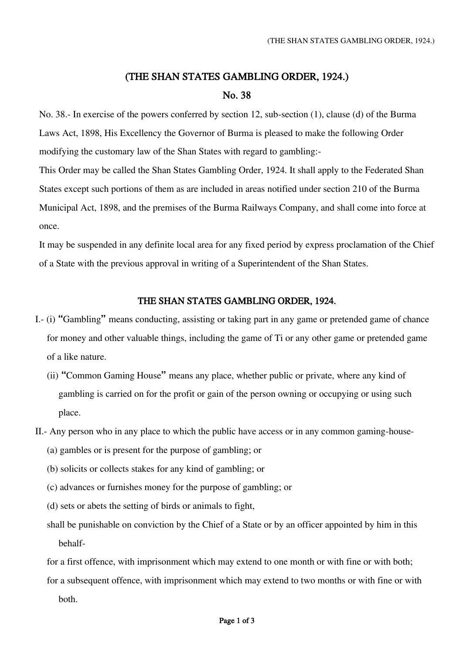## (THE SHAN STATES GAMBLING ORDER, 1924.)

## No. 38

No. 38.- In exercise of the powers conferred by section 12, sub-section (1), clause (d) of the Burma Laws Act, 1898, His Excellency the Governor of Burma is pleased to make the following Order modifying the customary law of the Shan States with regard to gambling:-

This Order may be called the Shan States Gambling Order, 1924. It shall apply to the Federated Shan States except such portions of them as are included in areas notified under section 210 of the Burma Municipal Act, 1898, and the premises of the Burma Railways Company, and shall come into force at once.

It may be suspended in any definite local area for any fixed period by express proclamation of the Chief of a State with the previous approval in writing of a Superintendent of the Shan States.

## THE SHAN STATES GAMBLING ORDER, 1924.

- I.- (i) "Gambling" means conducting, assisting or taking part in any game or pretended game of chance for money and other valuable things, including the game of Ti or any other game or pretended game of a like nature.
	- (ii) "Common Gaming House" means any place, whether public or private, where any kind of gambling is carried on for the profit or gain of the person owning or occupying or using such place.
- II.- Any person who in any place to which the public have access or in any common gaming-house-
	- (a) gambles or is present for the purpose of gambling; or
	- (b) solicits or collects stakes for any kind of gambling; or
	- (c) advances or furnishes money for the purpose of gambling; or
	- (d) sets or abets the setting of birds or animals to fight,
	- shall be punishable on conviction by the Chief of a State or by an officer appointed by him in this behalf-

for a first offence, with imprisonment which may extend to one month or with fine or with both; for a subsequent offence, with imprisonment which may extend to two months or with fine or with

both.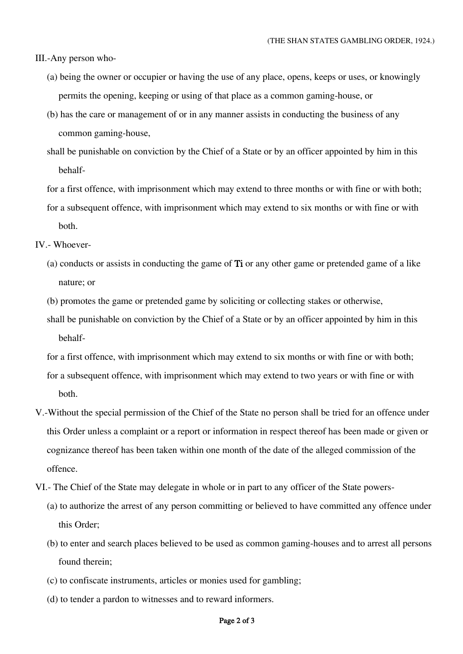III.-Any person who-

- (a) being the owner or occupier or having the use of any place, opens, keeps or uses, or knowingly permits the opening, keeping or using of that place as a common gaming-house, or
- (b) has the care or management of or in any manner assists in conducting the business of any common gaming-house,
- shall be punishable on conviction by the Chief of a State or by an officer appointed by him in this behalf-

for a first offence, with imprisonment which may extend to three months or with fine or with both; for a subsequent offence, with imprisonment which may extend to six months or with fine or with both.

IV.- Whoever-

(a) conducts or assists in conducting the game of Ti or any other game or pretended game of a like nature; or

(b) promotes the game or pretended game by soliciting or collecting stakes or otherwise,

shall be punishable on conviction by the Chief of a State or by an officer appointed by him in this behalf-

for a first offence, with imprisonment which may extend to six months or with fine or with both; for a subsequent offence, with imprisonment which may extend to two years or with fine or with both.

- V.-Without the special permission of the Chief of the State no person shall be tried for an offence under this Order unless a complaint or a report or information in respect thereof has been made or given or cognizance thereof has been taken within one month of the date of the alleged commission of the offence.
- VI.- The Chief of the State may delegate in whole or in part to any officer of the State powers-
	- (a) to authorize the arrest of any person committing or believed to have committed any offence under this Order;
	- (b) to enter and search places believed to be used as common gaming-houses and to arrest all persons found therein;
	- (c) to confiscate instruments, articles or monies used for gambling;
	- (d) to tender a pardon to witnesses and to reward informers.

## Page 2 of 3